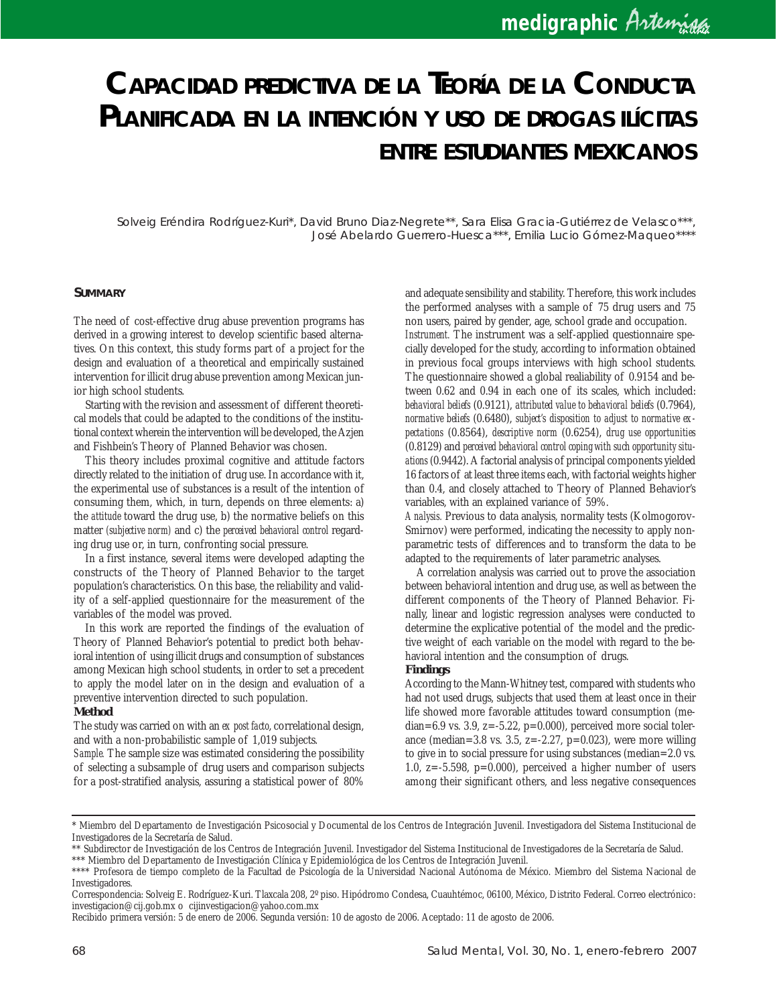# *CAPACIDAD PREDICTIVA DE LA TEORÍA DE LA CONDUCTA PLANIFICADA EN LA INTENCIÓN <sup>Y</sup> USO DE DROGAS ILÍCITAS ENTRE ESTUDIANTES MEXICANOS*

Solveig Eréndira Rodríguez-Kuri\*, David Bruno Diaz-Negrete\*\*, Sara Elisa Gracia-Gutiérrez de Velasco\*\*\*, José Abelardo Guerrero-Huesca\*\*\*, Emilia Lucio Gómez-Maqueo\*\*\*\*

#### **SUMMARY**

The need of cost-effective drug abuse prevention programs has derived in a growing interest to develop scientific based alternatives. On this context, this study forms part of a project for the design and evaluation of a theoretical and empirically sustained intervention for illicit drug abuse prevention among Mexican junior high school students.

Starting with the revision and assessment of different theoretical models that could be adapted to the conditions of the institutional context wherein the intervention will be developed, the Azjen and Fishbein's Theory of Planned Behavior was chosen.

This theory includes proximal cognitive and attitude factors directly related to the initiation of drug use. In accordance with it, the experimental use of substances is a result of the intention of consuming them, which, in turn, depends on three elements: a) the *attitude* toward the drug use, b) the normative beliefs on this matter *(subjective norm)* and c) the *perceived behavioral control* regarding drug use or, in turn, confronting social pressure.

In a first instance, several items were developed adapting the constructs of the Theory of Planned Behavior to the target population's characteristics. On this base, the reliability and validity of a self-applied questionnaire for the measurement of the variables of the model was proved.

In this work are reported the findings of the evaluation of Theory of Planned Behavior's potential to predict both behavioral intention of using illicit drugs and consumption of substances among Mexican high school students, in order to set a precedent to apply the model later on in the design and evaluation of a preventive intervention directed to such population.

## **Method**

The study was carried on with an *ex post facto*, correlational design, and with a non-probabilistic sample of 1,019 subjects.

*Sample.* The sample size was estimated considering the possibility of selecting a subsample of drug users and comparison subjects for a post-stratified analysis, assuring a statistical power of 80% and adequate sensibility and stability. Therefore, this work includes the performed analyses with a sample of 75 drug users and 75 non users, paired by gender, age, school grade and occupation. *Instrument.* The instrument was a self-applied questionnaire specially developed for the study, according to information obtained in previous focal groups interviews with high school students. The questionnaire showed a global realiability of 0.9154 and between 0.62 and 0.94 in each one of its scales, which included: *behavioral beliefs* (0.9121), *attributed value to behavioral beliefs* (0.7964), *normative beliefs* (0.6480), *subject's disposition to adjust to normative expectations* (0.8564), *descriptive norm* (0.6254), *drug use opportunities* (0.8129) and *perceived behavioral control coping with such opportunity situations* (0.9442). A factorial analysis of principal components yielded 16 factors of at least three items each, with factorial weights higher than 0.4, and closely attached to Theory of Planned Behavior's variables, with an explained variance of 59%.

*Analysis.* Previous to data analysis, normality tests (Kolmogorov-Smirnov) were performed, indicating the necessity to apply nonparametric tests of differences and to transform the data to be adapted to the requirements of later parametric analyses.

A correlation analysis was carried out to prove the association between behavioral intention and drug use, as well as between the different components of the Theory of Planned Behavior. Finally, linear and logistic regression analyses were conducted to determine the explicative potential of the model and the predictive weight of each variable on the model with regard to the behavioral intention and the consumption of drugs.

### **Findings**

According to the Mann-Whitney test, compared with students who had not used drugs, subjects that used them at least once in their life showed more favorable attitudes toward consumption (median=6.9 vs. 3.9,  $z=-5.22$ ,  $p=0.000$ ), perceived more social tolerance (median=3.8 vs. 3.5, z=-2.27, p=0.023), were more willing to give in to social pressure for using substances (median=2.0 vs. 1.0, z=-5.598, p=0.000), perceived a higher number of users among their significant others, and less negative consequences

<sup>\*</sup> Miembro del Departamento de Investigación Psicosocial y Documental de los Centros de Integración Juvenil. Investigadora del Sistema Institucional de Investigadores de la Secretaría de Salud.

<sup>\*\*</sup> Subdirector de Investigación de los Centros de Integración Juvenil. Investigador del Sistema Institucional de Investigadores de la Secretaría de Salud.

<sup>\*\*\*</sup> Miembro del Departamento de Investigación Clínica y Epidemiológica de los Centros de Integración Juvenil.

<sup>\*\*\*\*</sup> Profesora de tiempo completo de la Facultad de Psicología de la Universidad Nacional Autónoma de México. Miembro del Sistema Nacional de Investigadores.

Correspondencia: Solveig E. Rodríguez-Kuri. Tlaxcala 208, 2º piso. Hipódromo Condesa, Cuauhtémoc, 06100, México, Distrito Federal. Correo electrónico: investigacion@cij.gob.mx o cijinvestigacion@yahoo.com.mx

Recibido primera versión: 5 de enero de 2006. Segunda versión: 10 de agosto de 2006. Aceptado: 11 de agosto de 2006.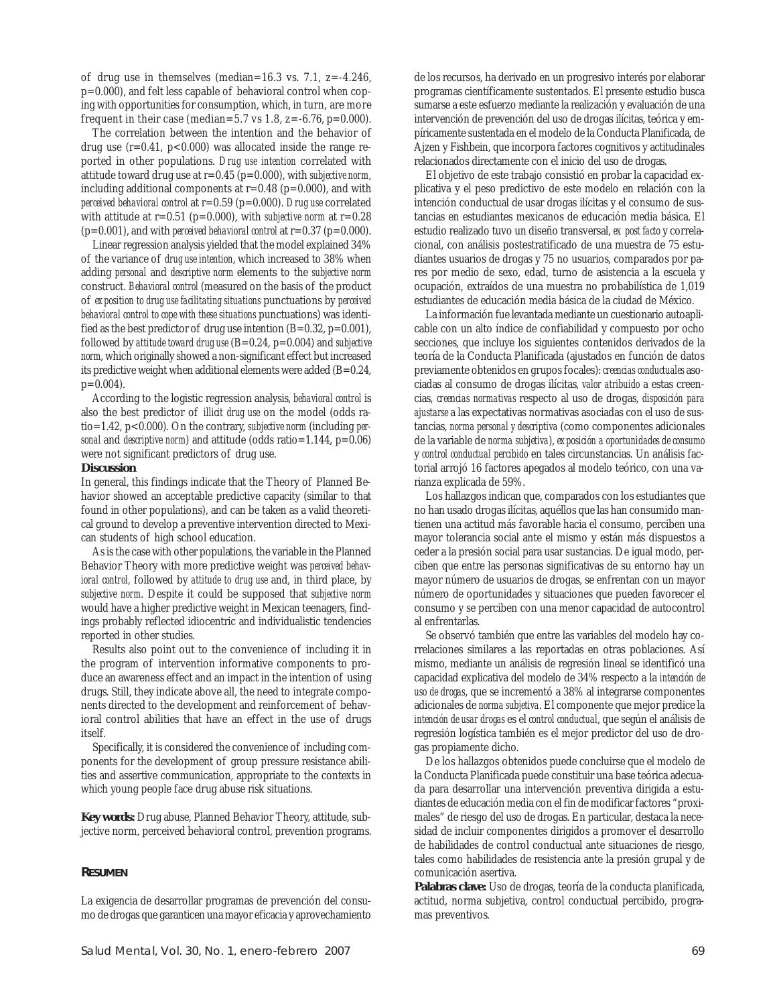of drug use in themselves (median=16.3 vs. 7.1,  $z=-4.246$ , p=0.000), and felt less capable of behavioral control when coping with opportunities for consumption, which, in turn, are more frequent in their case (median=5.7 vs 1.8,  $z = -6.76$ ,  $p = 0.000$ ).

The correlation between the intention and the behavior of drug use  $(r=0.41, p<0.000)$  was allocated inside the range reported in other populations. *Drug use intention* correlated with attitude toward drug use at r=0.45 (p=0.000), with *subjective norm*, including additional components at  $r=0.48$  (p=0.000), and with *perceived behavioral control* at r=0.59 (p=0.000). *Drug use* correlated with attitude at  $r=0.51$  ( $p=0.000$ ), with *subjective norm* at  $r=0.28$  $(p=0.001)$ , and with *perceived behavioral control* at  $r=0.37$   $(p=0.000)$ .

Linear regression analysis yielded that the model explained 34% of the variance of *drug use intention*, which increased to 38% when adding *personal* and *descriptive norm* elements to the *subjective norm* construct. *Behavioral control* (measured on the basis of the product of *exposition to drug use facilitating situations* punctuations by *perceived behavioral control to cope with these situations* punctuations) was identified as the best predictor of drug use intention  $(B=0.32, p=0.001)$ , followed by *attitude toward drug use* (B=0.24, p=0.004) and *subjective norm*, which originally showed a non-significant effect but increased its predictive weight when additional elements were added (B=0.24, p=0.004).

According to the logistic regression analysis, *behavioral control* is also the best predictor of *illicit drug use* on the model (odds ratio=1.42, p<0.000). On the contrary, *subjective norm* (including *personal* and *descriptive norm*) and attitude (odds ratio=1.144, p=0.06) were not significant predictors of drug use.

#### **Discussion**

In general, this findings indicate that the Theory of Planned Behavior showed an acceptable predictive capacity (similar to that found in other populations), and can be taken as a valid theoretical ground to develop a preventive intervention directed to Mexican students of high school education.

As is the case with other populations, the variable in the Planned Behavior Theory with more predictive weight was *perceived behavioral control,* followed by *attitude to drug use* and, in third place, by *subjective norm*. Despite it could be supposed that *subjective norm* would have a higher predictive weight in Mexican teenagers, findings probably reflected idiocentric and individualistic tendencies reported in other studies.

Results also point out to the convenience of including it in the program of intervention informative components to produce an awareness effect and an impact in the intention of using drugs. Still, they indicate above all, the need to integrate components directed to the development and reinforcement of behavioral control abilities that have an effect in the use of drugs itself.

Specifically, it is considered the convenience of including components for the development of group pressure resistance abilities and assertive communication, appropriate to the contexts in which young people face drug abuse risk situations.

**Key words:** Drug abuse, Planned Behavior Theory, attitude, subjective norm, perceived behavioral control, prevention programs.

### **RESUMEN**

La exigencia de desarrollar programas de prevención del consumo de drogas que garanticen una mayor eficacia y aprovechamiento de los recursos, ha derivado en un progresivo interés por elaborar programas científicamente sustentados. El presente estudio busca sumarse a este esfuerzo mediante la realización y evaluación de una intervención de prevención del uso de drogas ilícitas, teórica y empíricamente sustentada en el modelo de la Conducta Planificada, de Ajzen y Fishbein, que incorpora factores cognitivos y actitudinales relacionados directamente con el inicio del uso de drogas.

El objetivo de este trabajo consistió en probar la capacidad explicativa y el peso predictivo de este modelo en relación con la intención conductual de usar drogas ilícitas y el consumo de sustancias en estudiantes mexicanos de educación media básica. El estudio realizado tuvo un diseño transversal, *ex post facto* y correlacional, con análisis postestratificado de una muestra de 75 estudiantes usuarios de drogas y 75 no usuarios, comparados por pares por medio de sexo, edad, turno de asistencia a la escuela y ocupación, extraídos de una muestra no probabilística de 1,019 estudiantes de educación media básica de la ciudad de México.

La información fue levantada mediante un cuestionario autoaplicable con un alto índice de confiabilidad y compuesto por ocho secciones, que incluye los siguientes contenidos derivados de la teoría de la Conducta Planificada (ajustados en función de datos previamente obtenidos en grupos focales): *creencias conductuales* asociadas al consumo de drogas ilícitas, *valor atribuido* a estas creencias, *creencias normativas* respecto al uso de drogas, *disposición para ajustarse* a las expectativas normativas asociadas con el uso de sustancias, *norma personal y descriptiva* (como componentes adicionales de la variable de *norma subjetiva*), *exposición a oportunidades de consumo* y *control conductual percibido* en tales circunstancias. Un análisis factorial arrojó 16 factores apegados al modelo teórico, con una varianza explicada de 59%.

Los hallazgos indican que, comparados con los estudiantes que no han usado drogas ilícitas, aquéllos que las han consumido mantienen una actitud más favorable hacia el consumo, perciben una mayor tolerancia social ante el mismo y están más dispuestos a ceder a la presión social para usar sustancias. De igual modo, perciben que entre las personas significativas de su entorno hay un mayor número de usuarios de drogas, se enfrentan con un mayor número de oportunidades y situaciones que pueden favorecer el consumo y se perciben con una menor capacidad de autocontrol al enfrentarlas.

Se observó también que entre las variables del modelo hay correlaciones similares a las reportadas en otras poblaciones. Así mismo, mediante un análisis de regresión lineal se identificó una capacidad explicativa del modelo de 34% respecto a la *intención de uso de drogas*, que se incrementó a 38% al integrarse componentes adicionales de *norma subjetiva*. El componente que mejor predice la *intención de usar drogas* es el *control conductual*, que según el análisis de regresión logística también es el mejor predictor del uso de drogas propiamente dicho.

De los hallazgos obtenidos puede concluirse que el modelo de la Conducta Planificada puede constituir una base teórica adecuada para desarrollar una intervención preventiva dirigida a estudiantes de educación media con el fin de modificar factores "proximales" de riesgo del uso de drogas. En particular, destaca la necesidad de incluir componentes dirigidos a promover el desarrollo de habilidades de control conductual ante situaciones de riesgo, tales como habilidades de resistencia ante la presión grupal y de comunicación asertiva.

**Palabras clave:** Uso de drogas, teoría de la conducta planificada, actitud, norma subjetiva, control conductual percibido, programas preventivos.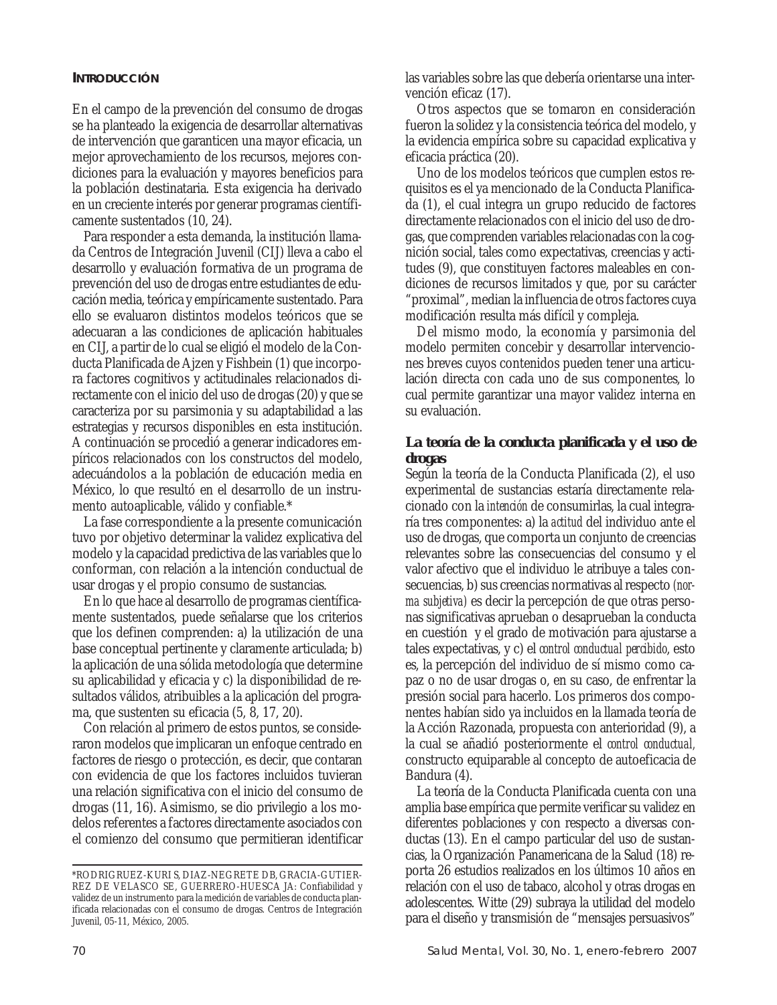## **INTRODUCCIÓN**

En el campo de la prevención del consumo de drogas se ha planteado la exigencia de desarrollar alternativas de intervención que garanticen una mayor eficacia, un mejor aprovechamiento de los recursos, mejores condiciones para la evaluación y mayores beneficios para la población destinataria. Esta exigencia ha derivado en un creciente interés por generar programas científicamente sustentados (10, 24).

Para responder a esta demanda, la institución llamada Centros de Integración Juvenil (CIJ) lleva a cabo el desarrollo y evaluación formativa de un programa de prevención del uso de drogas entre estudiantes de educación media, teórica y empíricamente sustentado. Para ello se evaluaron distintos modelos teóricos que se adecuaran a las condiciones de aplicación habituales en CIJ, a partir de lo cual se eligió el modelo de la Conducta Planificada de Ajzen y Fishbein (1) que incorpora factores cognitivos y actitudinales relacionados directamente con el inicio del uso de drogas (20) y que se caracteriza por su parsimonia y su adaptabilidad a las estrategias y recursos disponibles en esta institución. A continuación se procedió a generar indicadores empíricos relacionados con los constructos del modelo, adecuándolos a la población de educación media en México, lo que resultó en el desarrollo de un instrumento autoaplicable, válido y confiable.\*

La fase correspondiente a la presente comunicación tuvo por objetivo determinar la validez explicativa del modelo y la capacidad predictiva de las variables que lo conforman, con relación a la intención conductual de usar drogas y el propio consumo de sustancias.

En lo que hace al desarrollo de programas científicamente sustentados, puede señalarse que los criterios que los definen comprenden: a) la utilización de una base conceptual pertinente y claramente articulada; b) la aplicación de una sólida metodología que determine su aplicabilidad y eficacia y c) la disponibilidad de resultados válidos, atribuibles a la aplicación del programa, que sustenten su eficacia (5, 8, 17, 20).

Con relación al primero de estos puntos, se consideraron modelos que implicaran un enfoque centrado en factores de riesgo o protección, es decir, que contaran con evidencia de que los factores incluidos tuvieran una relación significativa con el inicio del consumo de drogas (11, 16). Asimismo, se dio privilegio a los modelos referentes a factores directamente asociados con el comienzo del consumo que permitieran identificar

las variables sobre las que debería orientarse una intervención eficaz (17).

Otros aspectos que se tomaron en consideración fueron la solidez y la consistencia teórica del modelo, y la evidencia empírica sobre su capacidad explicativa y eficacia práctica (20).

Uno de los modelos teóricos que cumplen estos requisitos es el ya mencionado de la Conducta Planificada (1), el cual integra un grupo reducido de factores directamente relacionados con el inicio del uso de drogas, que comprenden variables relacionadas con la cognición social, tales como expectativas, creencias y actitudes (9), que constituyen factores maleables en condiciones de recursos limitados y que, por su carácter "proximal", median la influencia de otros factores cuya modificación resulta más difícil y compleja.

Del mismo modo, la economía y parsimonia del modelo permiten concebir y desarrollar intervenciones breves cuyos contenidos pueden tener una articulación directa con cada uno de sus componentes, lo cual permite garantizar una mayor validez interna en su evaluación.

## **La teoría de la conducta planificada y el uso de drogas**

Según la teoría de la Conducta Planificada (2), el uso experimental de sustancias estaría directamente relacionado con la *intención* de consumirlas, la cual integraría tres componentes: a) la *actitud* del individuo ante el uso de drogas, que comporta un conjunto de creencias relevantes sobre las consecuencias del consumo y el valor afectivo que el individuo le atribuye a tales consecuencias, b) sus creencias normativas al respecto *(norma subjetiva)* es decir la percepción de que otras personas significativas aprueban o desaprueban la conducta en cuestión y el grado de motivación para ajustarse a tales expectativas, y c) el *control conductual percibido*, esto es, la percepción del individuo de sí mismo como capaz o no de usar drogas o, en su caso, de enfrentar la presión social para hacerlo. Los primeros dos componentes habían sido ya incluidos en la llamada teoría de la Acción Razonada, propuesta con anterioridad (9), a la cual se añadió posteriormente el *control conductual,* constructo equiparable al concepto de autoeficacia de Bandura (4).

La teoría de la Conducta Planificada cuenta con una amplia base empírica que permite verificar su validez en diferentes poblaciones y con respecto a diversas conductas (13). En el campo particular del uso de sustancias, la Organización Panamericana de la Salud (18) reporta 26 estudios realizados en los últimos 10 años en relación con el uso de tabaco, alcohol y otras drogas en adolescentes. Witte (29) subraya la utilidad del modelo para el diseño y transmisión de "mensajes persuasivos"

<sup>\*</sup>RODRIGRUEZ-KURI S, DIAZ-NEGRETE DB, GRACIA-GUTIER-REZ DE VELASCO SE, GUERRERO-HUESCA JA: Confiabilidad y validez de un instrumento para la medición de variables de conducta planificada relacionadas con el consumo de drogas. Centros de Integración Juvenil, 05-11, México, 2005.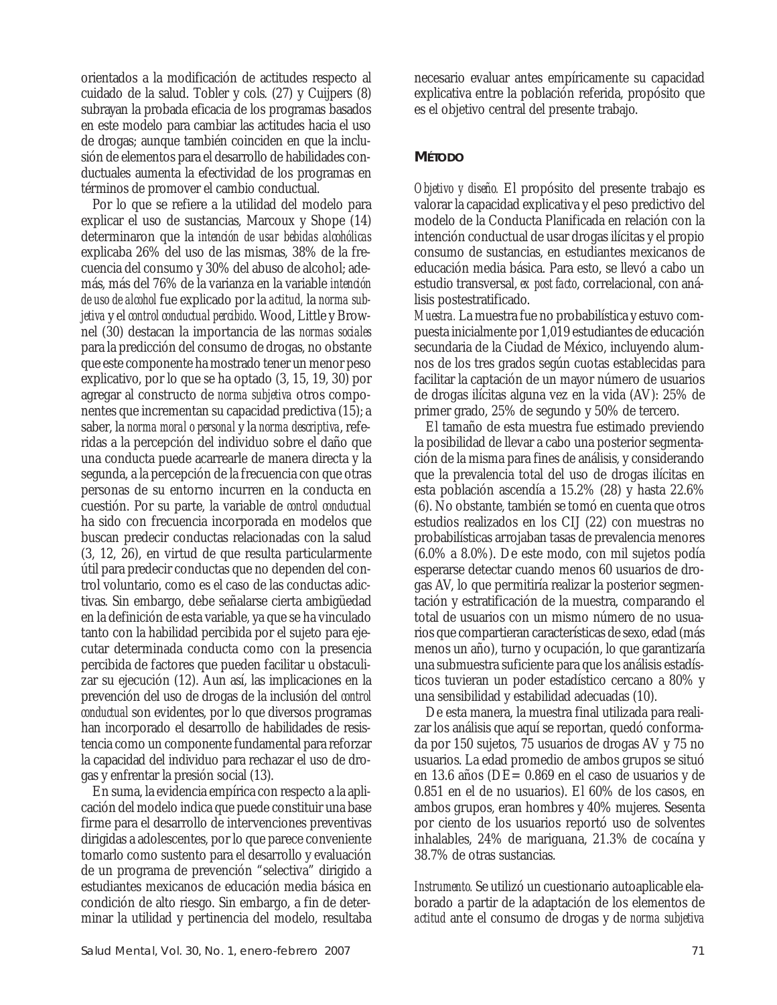orientados a la modificación de actitudes respecto al cuidado de la salud. Tobler y cols. (27) y Cuijpers (8) subrayan la probada eficacia de los programas basados en este modelo para cambiar las actitudes hacia el uso de drogas; aunque también coinciden en que la inclusión de elementos para el desarrollo de habilidades conductuales aumenta la efectividad de los programas en términos de promover el cambio conductual.

Por lo que se refiere a la utilidad del modelo para explicar el uso de sustancias, Marcoux y Shope (14) determinaron que la *intención de usar bebidas alcohólicas* explicaba 26% del uso de las mismas, 38% de la frecuencia del consumo y 30% del abuso de alcohol; además, más del 76% de la varianza en la variable *intención de uso de alcohol* fue explicado por la *actitud,* la *norma subjetiva* y el *control conductual percibido*. Wood, Little y Brownel (30) destacan la importancia de las *normas sociales* para la predicción del consumo de drogas, no obstante que este componente ha mostrado tener un menor peso explicativo, por lo que se ha optado (3, 15, 19, 30) por agregar al constructo de *norma subjetiva* otros componentes que incrementan su capacidad predictiva (15); a saber, la *norma moral o personal* y la *norma descriptiva*, referidas a la percepción del individuo sobre el daño que una conducta puede acarrearle de manera directa y la segunda, a la percepción de la frecuencia con que otras personas de su entorno incurren en la conducta en cuestión. Por su parte, la variable de *control conductual* ha sido con frecuencia incorporada en modelos que buscan predecir conductas relacionadas con la salud (3, 12, 26), en virtud de que resulta particularmente útil para predecir conductas que no dependen del control voluntario, como es el caso de las conductas adictivas. Sin embargo, debe señalarse cierta ambigüedad en la definición de esta variable, ya que se ha vinculado tanto con la habilidad percibida por el sujeto para ejecutar determinada conducta como con la presencia percibida de factores que pueden facilitar u obstaculizar su ejecución (12). Aun así, las implicaciones en la prevención del uso de drogas de la inclusión del *control conductual* son evidentes, por lo que diversos programas han incorporado el desarrollo de habilidades de resistencia como un componente fundamental para reforzar la capacidad del individuo para rechazar el uso de drogas y enfrentar la presión social (13).

En suma, la evidencia empírica con respecto a la aplicación del modelo indica que puede constituir una base firme para el desarrollo de intervenciones preventivas dirigidas a adolescentes, por lo que parece conveniente tomarlo como sustento para el desarrollo y evaluación de un programa de prevención "selectiva" dirigido a estudiantes mexicanos de educación media básica en condición de alto riesgo. Sin embargo, a fin de determinar la utilidad y pertinencia del modelo, resultaba necesario evaluar antes empíricamente su capacidad explicativa entre la población referida, propósito que es el objetivo central del presente trabajo.

## **MÉTODO**

*Objetivo y diseño.* El propósito del presente trabajo es valorar la capacidad explicativa y el peso predictivo del modelo de la Conducta Planificada en relación con la intención conductual de usar drogas ilícitas y el propio consumo de sustancias, en estudiantes mexicanos de educación media básica. Para esto, se llevó a cabo un estudio transversal, *ex post facto*, correlacional, con análisis postestratificado.

*Muestra.* La muestra fue no probabilística y estuvo compuesta inicialmente por 1,019 estudiantes de educación secundaria de la Ciudad de México, incluyendo alumnos de los tres grados según cuotas establecidas para facilitar la captación de un mayor número de usuarios de drogas ilícitas alguna vez en la vida (AV): 25% de primer grado, 25% de segundo y 50% de tercero.

El tamaño de esta muestra fue estimado previendo la posibilidad de llevar a cabo una posterior segmentación de la misma para fines de análisis, y considerando que la prevalencia total del uso de drogas ilícitas en esta población ascendía a 15.2% (28) y hasta 22.6% (6). No obstante, también se tomó en cuenta que otros estudios realizados en los CIJ (22) con muestras no probabilísticas arrojaban tasas de prevalencia menores (6.0% a 8.0%). De este modo, con mil sujetos podía esperarse detectar cuando menos 60 usuarios de drogas AV, lo que permitiría realizar la posterior segmentación y estratificación de la muestra, comparando el total de usuarios con un mismo número de no usuarios que compartieran características de sexo, edad (más menos un año), turno y ocupación, lo que garantizaría una submuestra suficiente para que los análisis estadísticos tuvieran un poder estadístico cercano a 80% y una sensibilidad y estabilidad adecuadas (10).

De esta manera, la muestra final utilizada para realizar los análisis que aquí se reportan, quedó conformada por 150 sujetos, 75 usuarios de drogas AV y 75 no usuarios. La edad promedio de ambos grupos se situó en 13.6 años (DE= 0.869 en el caso de usuarios y de 0.851 en el de no usuarios). El 60% de los casos, en ambos grupos, eran hombres y 40% mujeres. Sesenta por ciento de los usuarios reportó uso de solventes inhalables, 24% de mariguana, 21.3% de cocaína y 38.7% de otras sustancias.

*Instrumento.* Se utilizó un cuestionario autoaplicable elaborado a partir de la adaptación de los elementos de *actitud* ante el consumo de drogas y de *norma subjetiva*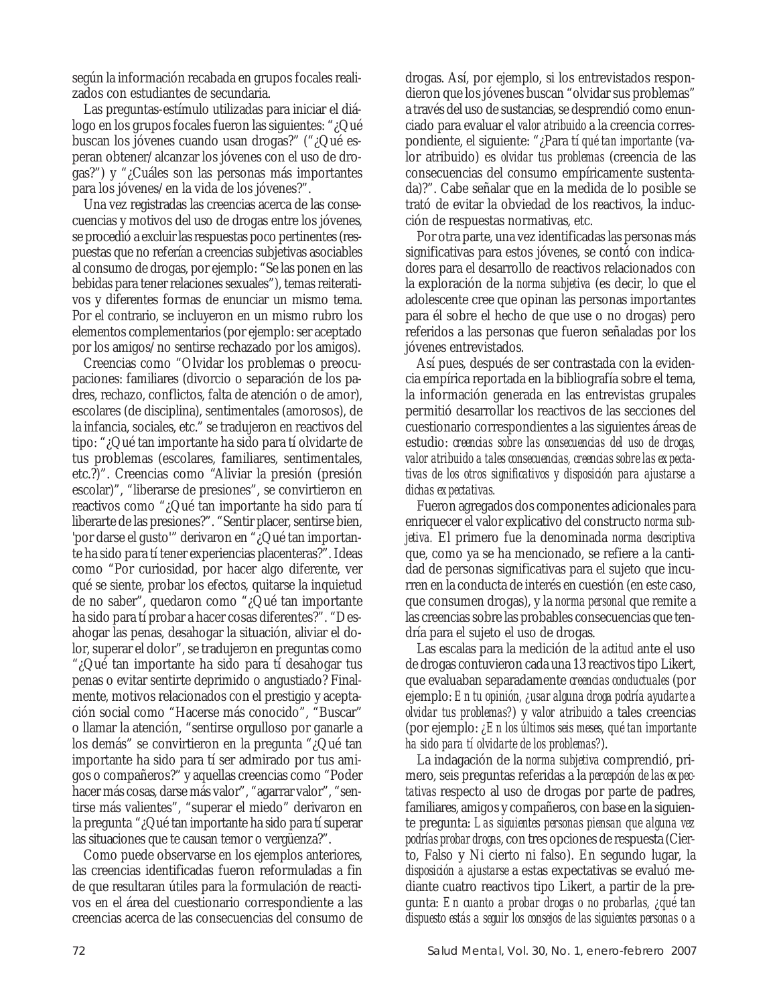según la información recabada en grupos focales realizados con estudiantes de secundaria.

Las preguntas-estímulo utilizadas para iniciar el diálogo en los grupos focales fueron las siguientes: "¿Qué buscan los jóvenes cuando usan drogas?" ("¿Qué esperan obtener/alcanzar los jóvenes con el uso de drogas?") y "¿Cuáles son las personas más importantes para los jóvenes/en la vida de los jóvenes?".

Una vez registradas las creencias acerca de las consecuencias y motivos del uso de drogas entre los jóvenes, se procedió a excluir las respuestas poco pertinentes (respuestas que no referían a creencias subjetivas asociables al consumo de drogas, por ejemplo: "Se las ponen en las bebidas para tener relaciones sexuales"), temas reiterativos y diferentes formas de enunciar un mismo tema. Por el contrario, se incluyeron en un mismo rubro los elementos complementarios (por ejemplo: ser aceptado por los amigos/no sentirse rechazado por los amigos).

Creencias como "Olvidar los problemas o preocupaciones: familiares (divorcio o separación de los padres, rechazo, conflictos, falta de atención o de amor), escolares (de disciplina), sentimentales (amorosos), de la infancia, sociales, etc." se tradujeron en reactivos del tipo: "¿Qué tan importante ha sido para tí olvidarte de tus problemas (escolares, familiares, sentimentales, etc.?)". Creencias como "Aliviar la presión (presión escolar)", "liberarse de presiones", se convirtieron en reactivos como "¿Qué tan importante ha sido para tí liberarte de las presiones?". "Sentir placer, sentirse bien, 'por darse el gusto'" derivaron en "¿Qué tan importante ha sido para tí tener experiencias placenteras?". Ideas como "Por curiosidad, por hacer algo diferente, ver qué se siente, probar los efectos, quitarse la inquietud de no saber", quedaron como "¿Qué tan importante ha sido para tí probar a hacer cosas diferentes?". "Desahogar las penas, desahogar la situación, aliviar el dolor, superar el dolor", se tradujeron en preguntas como "¿Qué tan importante ha sido para tí desahogar tus penas o evitar sentirte deprimido o angustiado? Finalmente, motivos relacionados con el prestigio y aceptación social como "Hacerse más conocido", "Buscar" o llamar la atención, "sentirse orgulloso por ganarle a los demás" se convirtieron en la pregunta "¿Qué tan importante ha sido para tí ser admirado por tus amigos o compañeros?" y aquellas creencias como "Poder hacer más cosas, darse más valor", "agarrar valor", "sentirse más valientes", "superar el miedo" derivaron en la pregunta "¿Qué tan importante ha sido para tí superar las situaciones que te causan temor o vergüenza?".

Como puede observarse en los ejemplos anteriores, las creencias identificadas fueron reformuladas a fin de que resultaran útiles para la formulación de reactivos en el área del cuestionario correspondiente a las creencias acerca de las consecuencias del consumo de

drogas. Así, por ejemplo, si los entrevistados respondieron que los jóvenes buscan "olvidar sus problemas" a través del uso de sustancias, se desprendió como enunciado para evaluar el *valor atribuido* a la creencia correspondiente, el siguiente: "¿Para tí *qué tan important*e (valor atribuido) es *olvidar tus problemas* (creencia de las consecuencias del consumo empíricamente sustentada)?". Cabe señalar que en la medida de lo posible se trató de evitar la obviedad de los reactivos, la inducción de respuestas normativas, etc.

Por otra parte, una vez identificadas las personas más significativas para estos jóvenes, se contó con indicadores para el desarrollo de reactivos relacionados con la exploración de la *norma subjetiva* (es decir, lo que el adolescente cree que opinan las personas importantes para él sobre el hecho de que use o no drogas) pero referidos a las personas que fueron señaladas por los jóvenes entrevistados.

Así pues, después de ser contrastada con la evidencia empírica reportada en la bibliografía sobre el tema, la información generada en las entrevistas grupales permitió desarrollar los reactivos de las secciones del cuestionario correspondientes a las siguientes áreas de estudio: *creencias sobre las consecuencias del uso de drogas, valor atribuido a tales consecuencias, creencias sobre las expectativas de los otros significativos y disposición para ajustarse a dichas expectativas.*

Fueron agregados dos componentes adicionales para enriquecer el valor explicativo del constructo *norma subjetiva.* El primero fue la denominada *norma descriptiva* que, como ya se ha mencionado, se refiere a la cantidad de personas significativas para el sujeto que incurren en la conducta de interés en cuestión (en este caso, que consumen drogas), y la *norma personal* que remite a las creencias sobre las probables consecuencias que tendría para el sujeto el uso de drogas.

Las escalas para la medición de la *actitud* ante el uso de drogas contuvieron cada una 13 reactivos tipo Likert, que evaluaban separadamente *creencias conductuales* (por ejemplo: *En tu opinión, ¿usar alguna droga podría ayudarte a olvidar tus problemas?*) y *valor atribuido* a tales creencias (por ejemplo: *¿En los últimos seis meses, qué tan importante ha sido para tí olvidarte de los problemas?*).

La indagación de la *norma subjetiva* comprendió, primero, seis preguntas referidas a la *percepción de las expectativas* respecto al uso de drogas por parte de padres, familiares, amigos y compañeros, con base en la siguiente pregunta: *Las siguientes personas piensan que alguna vez podrías probar drogas*, con tres opciones de respuesta (Cierto, Falso y Ni cierto ni falso). En segundo lugar, la *disposición a ajustarse* a estas expectativas se evaluó mediante cuatro reactivos tipo Likert, a partir de la pregunta: *En cuanto a probar drogas o no probarlas, ¿qué tan dispuesto estás a seguir los consejos de las siguientes personas o a*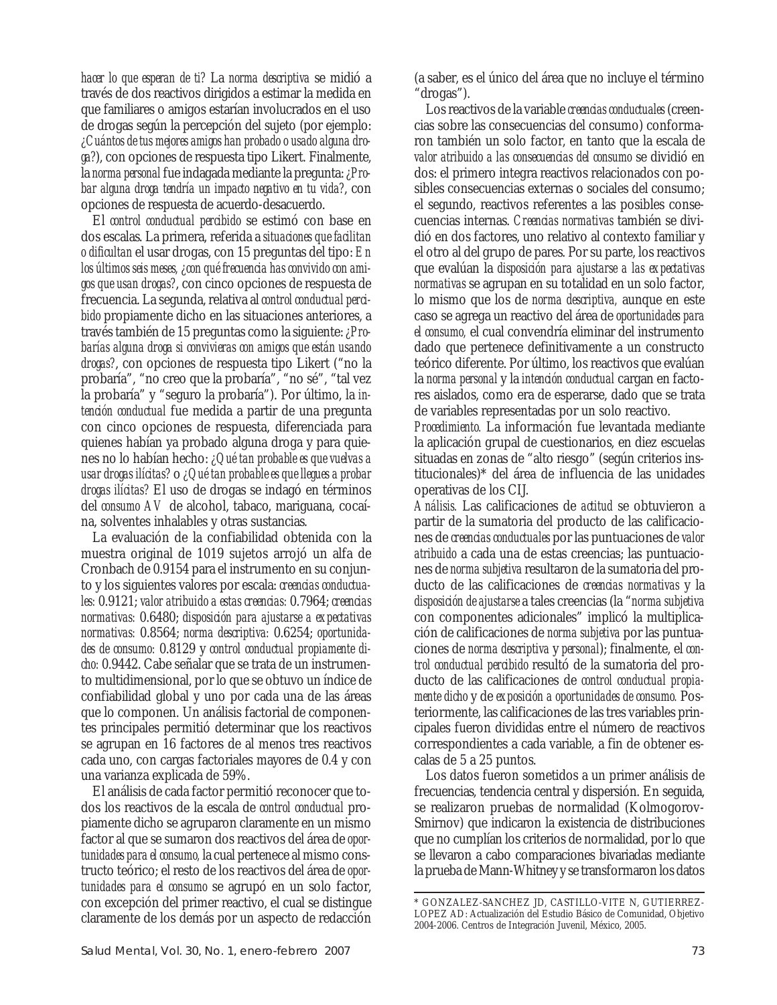*hacer lo que esperan de ti?* La *norma descriptiva* se midió a través de dos reactivos dirigidos a estimar la medida en que familiares o amigos estarían involucrados en el uso de drogas según la percepción del sujeto (por ejemplo: *¿Cuántos de tus mejores amigos han probado o usado alguna droga?*), con opciones de respuesta tipo Likert. Finalmente, la *norma personal* fue indagada mediante la pregunta: *¿Probar alguna droga tendría un impacto negativo en tu vida?*, con opciones de respuesta de acuerdo-desacuerdo.

El *control conductual percibido* se estimó con base en dos escalas. La primera, referida a *situaciones que facilitan o dificultan* el usar drogas, con 15 preguntas del tipo: *En los últimos seis meses, ¿con qué frecuencia has convivido con amigos que usan drogas?*, con cinco opciones de respuesta de frecuencia. La segunda, relativa al *control conductual percibido* propiamente dicho en las situaciones anteriores, a través también de 15 preguntas como la siguiente: *¿Probarías alguna droga si convivieras con amigos que están usando drogas?*, con opciones de respuesta tipo Likert ("no la probaría", "no creo que la probaría", "no sé", "tal vez la probaría" y "seguro la probaría"). Por último, la *intención conductual* fue medida a partir de una pregunta con cinco opciones de respuesta, diferenciada para quienes habían ya probado alguna droga y para quienes no lo habían hecho: *¿Qué tan probable es que vuelvas a usar drogas ilícitas?* o *¿Qué tan probable es que llegues a probar drogas ilícitas?* El uso de drogas se indagó en términos del *consumo AV* de alcohol, tabaco, mariguana, cocaína, solventes inhalables y otras sustancias.

La evaluación de la confiabilidad obtenida con la muestra original de 1019 sujetos arrojó un alfa de Cronbach de 0.9154 para el instrumento en su conjunto y los siguientes valores por escala: *creencias conductuales:* 0.9121; *valor atribuido a estas creencias:* 0.7964; *creencias normativas:* 0.6480; *disposición para ajustarse a expectativas normativas:* 0.8564; *norma descriptiva:* 0.6254; *oportunidades de consumo:* 0.8129 y *control conductual propiamente dicho:* 0.9442. Cabe señalar que se trata de un instrumento multidimensional, por lo que se obtuvo un índice de confiabilidad global y uno por cada una de las áreas que lo componen. Un análisis factorial de componentes principales permitió determinar que los reactivos se agrupan en 16 factores de al menos tres reactivos cada uno, con cargas factoriales mayores de 0.4 y con una varianza explicada de 59%.

El análisis de cada factor permitió reconocer que todos los reactivos de la escala de *control conductual* propiamente dicho se agruparon claramente en un mismo factor al que se sumaron dos reactivos del área de *oportunidades para el consumo,* la cual pertenece al mismo constructo teórico; el resto de los reactivos del área de *oportunidades para el consumo* se agrupó en un solo factor, con excepción del primer reactivo, el cual se distingue claramente de los demás por un aspecto de redacción (a saber, es el único del área que no incluye el término "drogas").

Los reactivos de la variable *creencias conductuales* (creencias sobre las consecuencias del consumo) conformaron también un solo factor, en tanto que la escala de *valor atribuido a las consecuencias del consumo* se dividió en dos: el primero integra reactivos relacionados con posibles consecuencias externas o sociales del consumo; el segundo, reactivos referentes a las posibles consecuencias internas. *Creencias normativas* también se dividió en dos factores, uno relativo al contexto familiar y el otro al del grupo de pares. Por su parte, los reactivos que evalúan la *disposición para ajustarse a las expectativas normativas* se agrupan en su totalidad en un solo factor, lo mismo que los de *norma descriptiva,* aunque en este caso se agrega un reactivo del área de *oportunidades para el consumo,* el cual convendría eliminar del instrumento dado que pertenece definitivamente a un constructo teórico diferente. Por último, los reactivos que evalúan la *norma personal* y la *intención conductual* cargan en factores aislados, como era de esperarse, dado que se trata de variables representadas por un solo reactivo.

*Procedimiento.* La información fue levantada mediante la aplicación grupal de cuestionarios, en diez escuelas situadas en zonas de "alto riesgo" (según criterios institucionales)\* del área de influencia de las unidades operativas de los CIJ.

*Análisis.* Las calificaciones de *actitud* se obtuvieron a partir de la sumatoria del producto de las calificaciones de *creencias conductuales* por las puntuaciones de *valor atribuido* a cada una de estas creencias; las puntuaciones de *norma subjetiva* resultaron de la sumatoria del producto de las calificaciones de *creencias normativas* y la *disposición de ajustarse* a tales creencias (la "*norma subjetiva* con componentes adicionales" implicó la multiplicación de calificaciones de *norma subjetiva* por las puntuaciones de *norma descriptiva* y *personal*); finalmente, el *control conductual percibido* resultó de la sumatoria del producto de las calificaciones de *control conductual propiamente dicho* y de *exposición a oportunidades de consumo.* Posteriormente, las calificaciones de las tres variables principales fueron divididas entre el número de reactivos correspondientes a cada variable, a fin de obtener escalas de 5 a 25 puntos.

Los datos fueron sometidos a un primer análisis de frecuencias, tendencia central y dispersión. En seguida, se realizaron pruebas de normalidad (Kolmogorov-Smirnov) que indicaron la existencia de distribuciones que no cumplían los criterios de normalidad, por lo que se llevaron a cabo comparaciones bivariadas mediante la prueba de Mann-Whitney y se transformaron los datos

<sup>\*</sup> GONZALEZ-SANCHEZ JD, CASTILLO-VITE N, GUTIERREZ-LOPEZ AD: Actualización del Estudio Básico de Comunidad, Objetivo 2004-2006. Centros de Integración Juvenil, México, 2005.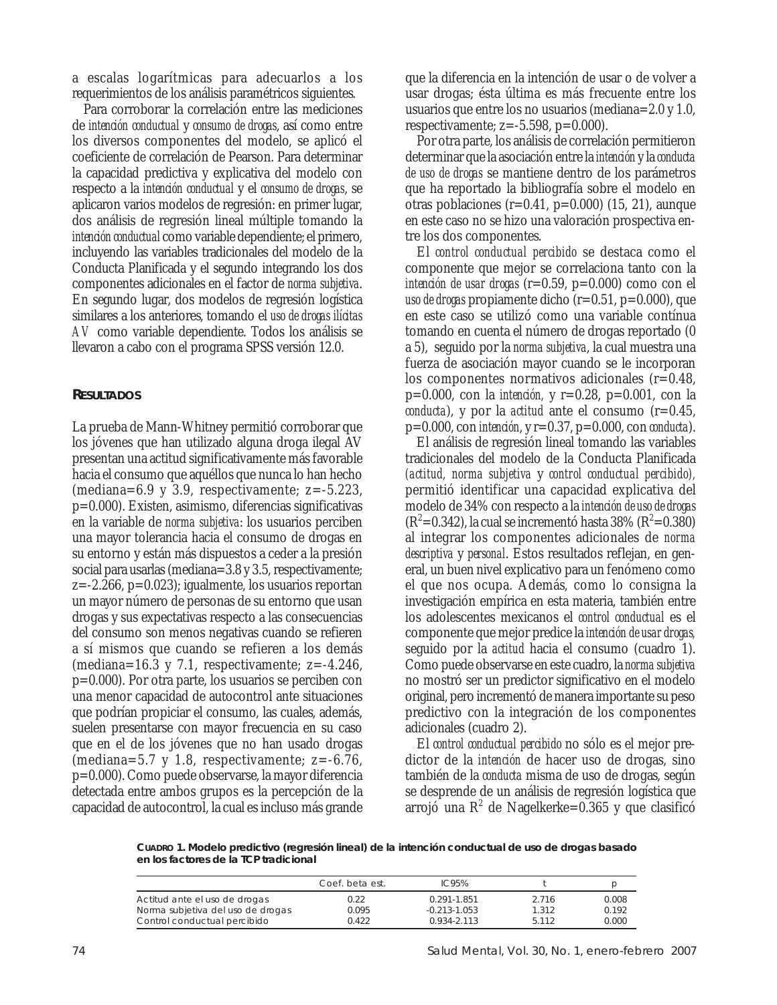a escalas logarítmicas para adecuarlos a los requerimientos de los análisis paramétricos siguientes.

Para corroborar la correlación entre las mediciones de *intención conductual* y *consumo de drogas*, así como entre los diversos componentes del modelo, se aplicó el coeficiente de correlación de Pearson. Para determinar la capacidad predictiva y explicativa del modelo con respecto a la *intención conductual* y el *consumo de drogas*, se aplicaron varios modelos de regresión: en primer lugar, dos análisis de regresión lineal múltiple tomando la *intención conductual* como variable dependiente; el primero, incluyendo las variables tradicionales del modelo de la Conducta Planificada y el segundo integrando los dos componentes adicionales en el factor de *norma subjetiva*. En segundo lugar, dos modelos de regresión logística similares a los anteriores, tomando el *uso de drogas ilícitas AV* como variable dependiente. Todos los análisis se llevaron a cabo con el programa SPSS versión 12.0.

## **RESULTADOS**

La prueba de Mann-Whitney permitió corroborar que los jóvenes que han utilizado alguna droga ilegal AV presentan una actitud significativamente más favorable hacia el consumo que aquéllos que nunca lo han hecho (mediana=6.9 y 3.9, respectivamente;  $z=-5.223$ , p=0.000). Existen, asimismo, diferencias significativas en la variable de *norma subjetiva*: los usuarios perciben una mayor tolerancia hacia el consumo de drogas en su entorno y están más dispuestos a ceder a la presión social para usarlas (mediana=3.8 y 3.5, respectivamente; z=-2.266, p=0.023); igualmente, los usuarios reportan un mayor número de personas de su entorno que usan drogas y sus expectativas respecto a las consecuencias del consumo son menos negativas cuando se refieren a sí mismos que cuando se refieren a los demás (mediana=16.3 y 7.1, respectivamente;  $z=-4.246$ , p=0.000). Por otra parte, los usuarios se perciben con una menor capacidad de autocontrol ante situaciones que podrían propiciar el consumo, las cuales, además, suelen presentarse con mayor frecuencia en su caso que en el de los jóvenes que no han usado drogas (mediana=5.7 y 1.8, respectivamente;  $z=-6.76$ , p=0.000). Como puede observarse, la mayor diferencia detectada entre ambos grupos es la percepción de la capacidad de autocontrol, la cual es incluso más grande

que la diferencia en la intención de usar o de volver a usar drogas; ésta última es más frecuente entre los usuarios que entre los no usuarios (mediana=2.0 y 1.0, respectivamente; z=-5.598, p=0.000).

Por otra parte, los análisis de correlación permitieron determinar que la asociación entre la *intención* y la *conducta de uso de drogas* se mantiene dentro de los parámetros que ha reportado la bibliografía sobre el modelo en otras poblaciones (r=0.41, p=0.000) (15, 21), aunque en este caso no se hizo una valoración prospectiva entre los dos componentes.

El *control conductual percibido* se destaca como el componente que mejor se correlaciona tanto con la *intención de usar drogas* (r=0.59, p=0.000) como con el *uso de drogas* propiamente dicho (r=0.51, p=0.000), que en este caso se utilizó como una variable contínua tomando en cuenta el número de drogas reportado (0 a 5), seguido por la *norma subjetiva*, la cual muestra una fuerza de asociación mayor cuando se le incorporan los componentes normativos adicionales (r=0.48, p=0.000, con la *intención,* y r=0.28, p=0.001, con la *conducta*), y por la *actitud* ante el consumo (r=0.45, p=0.000, con *intención*, y r=0.37, p=0.000, con *conducta*).

El análisis de regresión lineal tomando las variables tradicionales del modelo de la Conducta Planificada *(actitud, norma subjetiva* y *control conductual percibido),* permitió identificar una capacidad explicativa del modelo de 34% con respecto a la *intención de uso de drogas*  $(R^2=0.342)$ , la cual se incrementó hasta 38% ( $R^2=0.380$ ) al integrar los componentes adicionales de *norma descriptiva* y *personal*. Estos resultados reflejan, en general, un buen nivel explicativo para un fenómeno como el que nos ocupa. Además, como lo consigna la investigación empírica en esta materia, también entre los adolescentes mexicanos el *control conductual* es el componente que mejor predice la *intención de usar drogas,* seguido por la *actitud* hacia el consumo (cuadro 1). Como puede observarse en este cuadro, la *norma subjetiva* no mostró ser un predictor significativo en el modelo original, pero incrementó de manera importante su peso predictivo con la integración de los componentes adicionales (cuadro 2).

El *control conductual percibido* no sólo es el mejor predictor de la *intención* de hacer uso de drogas, sino también de la *conducta* misma de uso de drogas, según se desprende de un análisis de regresión logística que arrojó una  $\mathbb{R}^2$  de Nagelkerke=0.365 y que clasificó

**CUADRO 1. Modelo predictivo (regresión lineal) de la intención conductual de uso de drogas basado en los factores de la TCP tradicional**

|                                                                    | Coef, beta est. | IC95%                           |                |                |
|--------------------------------------------------------------------|-----------------|---------------------------------|----------------|----------------|
| Actitud ante el uso de drogas<br>Norma subjetiva del uso de drogas | 0.22<br>0.095   | 0.291-1.851<br>$-0.213 - 1.053$ | 2.716<br>1.312 | 0.008<br>0.192 |
| Control conductual percibido                                       | 0.422           | 0.934-2.113                     | 5 1 1 2        | 0.000          |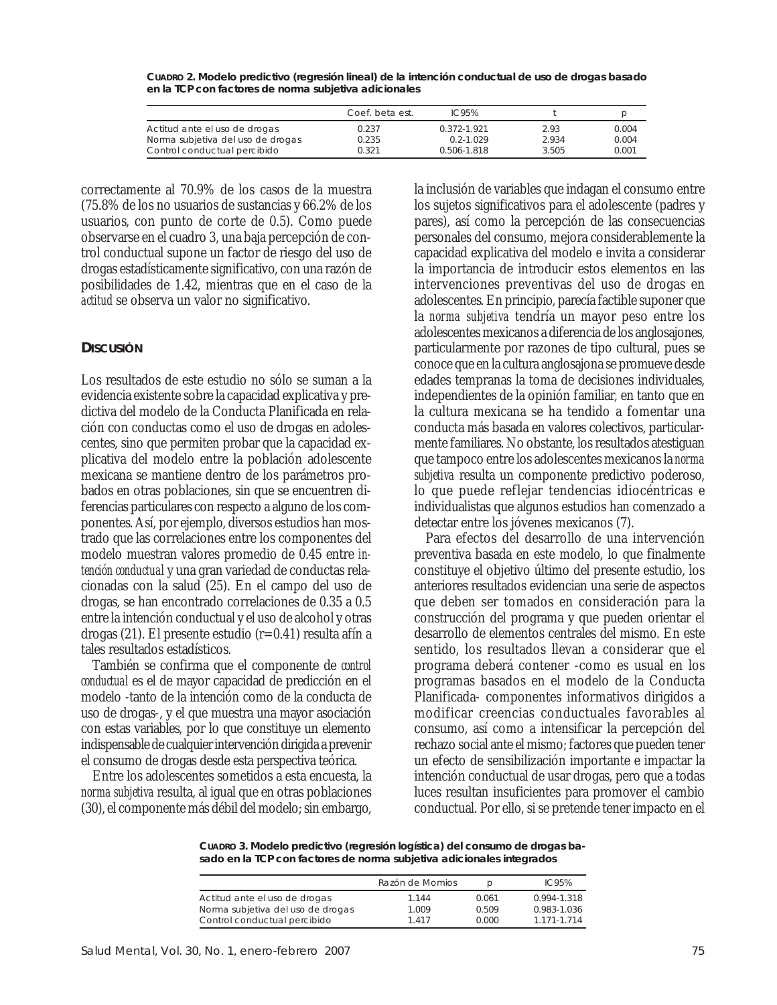|                                   | Coef, beta est. | IC95%         |       |       |
|-----------------------------------|-----------------|---------------|-------|-------|
| Actitud ante el uso de drogas     | 0.237           | 0.372-1.921   | 2.93  | 0.004 |
| Norma subjetiva del uso de drogas | 0.235           | $0.2 - 1.029$ | 2.934 | 0.004 |
| Control conductual percibido      | 0.321           | 0.506-1.818   | 3.505 | 0.001 |

**CUADRO 2. Modelo predictivo (regresión lineal) de la intención conductual de uso de drogas basado en la TCP con factores de norma subjetiva adicionales**

correctamente al 70.9% de los casos de la muestra (75.8% de los no usuarios de sustancias y 66.2% de los usuarios, con punto de corte de 0.5). Como puede observarse en el cuadro 3, una baja percepción de control conductual supone un factor de riesgo del uso de drogas estadísticamente significativo, con una razón de posibilidades de 1.42, mientras que en el caso de la *actitud* se observa un valor no significativo.

## **DISCUSIÓN**

Los resultados de este estudio no sólo se suman a la evidencia existente sobre la capacidad explicativa y predictiva del modelo de la Conducta Planificada en relación con conductas como el uso de drogas en adolescentes, sino que permiten probar que la capacidad explicativa del modelo entre la población adolescente mexicana se mantiene dentro de los parámetros probados en otras poblaciones, sin que se encuentren diferencias particulares con respecto a alguno de los componentes. Así, por ejemplo, diversos estudios han mostrado que las correlaciones entre los componentes del modelo muestran valores promedio de 0.45 entre *intención conductual* y una gran variedad de conductas relacionadas con la salud (25). En el campo del uso de drogas, se han encontrado correlaciones de 0.35 a 0.5 entre la intención conductual y el uso de alcohol y otras drogas (21). El presente estudio (r=0.41) resulta afín a tales resultados estadísticos.

También se confirma que el componente de *control conductual* es el de mayor capacidad de predicción en el modelo -tanto de la intención como de la conducta de uso de drogas-, y el que muestra una mayor asociación con estas variables, por lo que constituye un elemento indispensable de cualquier intervención dirigida a prevenir el consumo de drogas desde esta perspectiva teórica.

Entre los adolescentes sometidos a esta encuesta, la *norma subjetiva* resulta, al igual que en otras poblaciones (30), el componente más débil del modelo; sin embargo, la inclusión de variables que indagan el consumo entre los sujetos significativos para el adolescente (padres y pares), así como la percepción de las consecuencias personales del consumo, mejora considerablemente la capacidad explicativa del modelo e invita a considerar la importancia de introducir estos elementos en las intervenciones preventivas del uso de drogas en adolescentes. En principio, parecía factible suponer que la *norma subjetiva* tendría un mayor peso entre los adolescentes mexicanos a diferencia de los anglosajones, particularmente por razones de tipo cultural, pues se conoce que en la cultura anglosajona se promueve desde edades tempranas la toma de decisiones individuales, independientes de la opinión familiar, en tanto que en la cultura mexicana se ha tendido a fomentar una conducta más basada en valores colectivos, particularmente familiares. No obstante, los resultados atestiguan que tampoco entre los adolescentes mexicanos la *norma subjetiva* resulta un componente predictivo poderoso, lo que puede reflejar tendencias idiocéntricas e individualistas que algunos estudios han comenzado a detectar entre los jóvenes mexicanos (7).

Para efectos del desarrollo de una intervención preventiva basada en este modelo, lo que finalmente constituye el objetivo último del presente estudio, los anteriores resultados evidencian una serie de aspectos que deben ser tomados en consideración para la construcción del programa y que pueden orientar el desarrollo de elementos centrales del mismo. En este sentido, los resultados llevan a considerar que el programa deberá contener -como es usual en los programas basados en el modelo de la Conducta Planificada- componentes informativos dirigidos a modificar creencias conductuales favorables al consumo, así como a intensificar la percepción del rechazo social ante el mismo; factores que pueden tener un efecto de sensibilización importante e impactar la intención conductual de usar drogas, pero que a todas luces resultan insuficientes para promover el cambio conductual. Por ello, si se pretende tener impacto en el

**CUADRO 3. Modelo predictivo (regresión logística) del consumo de drogas basado en la TCP con factores de norma subjetiva adicionales integrados**

|                                   | Razón de Momios | $\mathcal{D}$ | IC95%       |
|-----------------------------------|-----------------|---------------|-------------|
| Actitud ante el uso de drogas     | 1.144           | 0.061         | 0.994-1.318 |
| Norma subjetiva del uso de drogas | 1.009           | 0.509         | 0.983-1.036 |
| Control conductual percibido      | 1417            | 0.000         | 1 171-1 714 |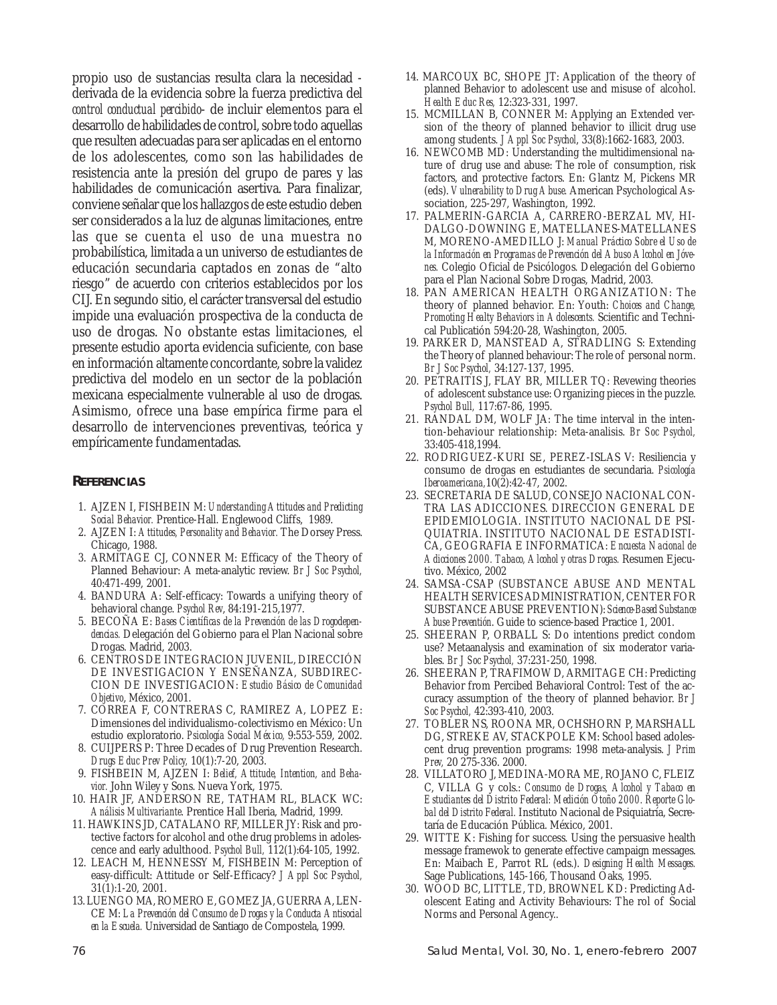propio uso de sustancias resulta clara la necesidad derivada de la evidencia sobre la fuerza predictiva del *control conductual percibido*- de incluir elementos para el desarrollo de habilidades de control, sobre todo aquellas que resulten adecuadas para ser aplicadas en el entorno de los adolescentes, como son las habilidades de resistencia ante la presión del grupo de pares y las habilidades de comunicación asertiva. Para finalizar, conviene señalar que los hallazgos de este estudio deben ser considerados a la luz de algunas limitaciones, entre las que se cuenta el uso de una muestra no probabilística, limitada a un universo de estudiantes de educación secundaria captados en zonas de "alto riesgo" de acuerdo con criterios establecidos por los CIJ. En segundo sitio, el carácter transversal del estudio impide una evaluación prospectiva de la conducta de uso de drogas. No obstante estas limitaciones, el presente estudio aporta evidencia suficiente, con base en información altamente concordante, sobre la validez predictiva del modelo en un sector de la población mexicana especialmente vulnerable al uso de drogas. Asimismo, ofrece una base empírica firme para el desarrollo de intervenciones preventivas, teórica y empíricamente fundamentadas.

## **REFERENCIAS**

- 1. AJZEN I, FISHBEIN M: *Understanding Attitudes and Predicting Social Behavior.* Prentice-Hall. Englewood Cliffs, 1989.
- 2. AJZEN I: *Attitudes, Personality and Behavior.* The Dorsey Press. Chicago, 1988.
- 3. ARMITAGE CJ, CONNER M: Efficacy of the Theory of Planned Behaviour: A meta-analytic review. *Br J Soc Psychol,* 40:471-499, 2001.
- 4. BANDURA A: Self-efficacy: Towards a unifying theory of behavioral change. *Psychol Rev*, 84:191-215,1977.
- 5. BECOÑA E: *Bases Científicas de la Prevención de las Drogodependencias.* Delegación del Gobierno para el Plan Nacional sobre Drogas. Madrid, 2003.
- 6. CENTROS DE INTEGRACION JUVENIL, DIRECCIÓN DE INVESTIGACION Y ENSEÑANZA, SUBDIREC-CION DE INVESTIGACION: *Estudio Básico de Comunidad Objetivo*, México, 2001.
- 7. CORREA F, CONTRERAS C, RAMIREZ A, LOPEZ E: Dimensiones del individualismo-colectivismo en México: Un estudio exploratorio. *Psicología Social México,* 9:553-559, 2002.
- 8. CUIJPERS P: Three Decades of Drug Prevention Research. *Drugs Educ Prev Policy,* 10(1):7-20, 2003.
- 9. FISHBEIN M, AJZEN I: *Belief, Attitude, Intention, and Behavior.* John Wiley y Sons. Nueva York, 1975.
- 10. HAIR JF, ANDERSON RE, TATHAM RL, BLACK WC: *Análisis Multivariante*. Prentice Hall Iberia, Madrid, 1999.
- 11. HAWKINS JD, CATALANO RF, MILLER JY: Risk and protective factors for alcohol and othe drug problems in adolescence and early adulthood. *Psychol Bull,* 112(1):64-105, 1992.
- 12. LEACH M, HENNESSY M, FISHBEIN M: Perception of easy-difficult: Attitude or Self-Efficacy? *J Appl Soc Psychol,* 31(1):1-20, 2001.
- 13. LUENGO MA, ROMERO E, GOMEZ JA, GUERRA A, LEN-CE M: *La Prevención del Consumo de Drogas y la Conducta Antisocial en la Escuela.* Universidad de Santiago de Compostela, 1999.
- 14. MARCOUX BC, SHOPE JT: Application of the theory of planned Behavior to adolescent use and misuse of alcohol. *Health Educ Res,* 12:323-331, 1997.
- 15. MCMILLAN B, CONNER M: Applying an Extended version of the theory of planned behavior to illicit drug use among students. *J Appl Soc Psychol*, 33(8):1662-1683, 2003.
- 16. NEWCOMB MD: Understanding the multidimensional nature of drug use and abuse: The role of consumption, risk factors, and protective factors. En: Glantz M, Pickens MR (eds). *Vulnerability to Drug Abuse.* American Psychological Association, 225-297, Washington, 1992.
- 17. PALMERIN-GARCIA A, CARRERO-BERZAL MV, HI-DALGO-DOWNING E, MATELLANES-MATELLANES M, MORENO-AMEDILLO J: *Manual Práctico Sobre el Uso de la Información en Programas de Prevención del Abuso Alcohol en Jóvenes.* Colegio Oficial de Psicólogos. Delegación del Gobierno para el Plan Nacional Sobre Drogas, Madrid, 2003.
- 18. PAN AMERICAN HEALTH ORGANIZATION: The theory of planned behavior. En: Youth: *Choices and Change, Promoting Healty Behaviors in Adolescents.* Scientific and Technical Publicatión 594:20-28, Washington, 2005.
- 19. PARKER D, MANSTEAD A, STRADLING S: Extending the Theory of planned behaviour: The role of personal norm. *Br J Soc Psychol,* 34:127-137, 1995.
- 20. PETRAITIS J, FLAY BR, MILLER TQ: Revewing theories of adolescent substance use: Organizing pieces in the puzzle. *Psychol Bull,* 117:67-86, 1995.
- 21. RANDAL DM, WOLF JA: The time interval in the intention-behaviour relationship: Meta-analisis. *Br Soc Psychol,* 33:405-418,1994.
- 22. RODRIGUEZ-KURI SE, PEREZ-ISLAS V: Resiliencia y consumo de drogas en estudiantes de secundaria. *Psicología Iberoamericana,*10(2):42-47, 2002.
- 23. SECRETARIA DE SALUD, CONSEJO NACIONAL CON-TRA LAS ADICCIONES. DIRECCION GENERAL DE EPIDEMIOLOGIA. INSTITUTO NACIONAL DE PSI-QUIATRIA. INSTITUTO NACIONAL DE ESTADISTI-CA, GEOGRAFIA E INFORMATICA: *Encuesta Nacional de Adicciones 2000. Tabaco, Alcohol y otras Drogas.* Resumen Ejecutivo. México, 2002
- 24. SAMSA-CSAP (SUBSTANCE ABUSE AND MENTAL HEALTH SERVICES ADMINISTRATION, CENTER FOR SUBSTANCE ABUSE PREVENTION): *Science-Based Substance Abuse Preventión*. Guide to science-based Practice 1, 2001.
- 25. SHEERAN P, ORBALL S: Do intentions predict condom use? Metaanalysis and examination of six moderator variables. *Br J Soc Psychol,* 37:231-250, 1998.
- 26. SHEERAN P, TRAFIMOW D, ARMITAGE CH: Predicting Behavior from Percibed Behavioral Control: Test of the accuracy assumption of the theory of planned behavior. *Br J Soc Psychol,* 42:393-410, 2003.
- 27. TOBLER NS, ROONA MR, OCHSHORN P, MARSHALL DG, STREKE AV, STACKPOLE KM: School based adolescent drug prevention programs: 1998 meta-analysis. *J Prim Prev,* 20 275-336. 2000.
- 28. VILLATORO J, MEDINA-MORA ME, ROJANO C, FLEIZ C, VILLA G y cols.: *Consumo de Drogas, Alcohol y Tabaco en Estudiantes del Distrito Federal: Medición Otoño 2000. Reporte Global del Distrito Federal.* Instituto Nacional de Psiquiatría, Secretaría de Educación Pública. México, 2001.
- 29. WITTE K: Fishing for success. Using the persuasive health message framewok to generate effective campaign messages. En: Maibach E, Parrot RL (eds.). *Designing Health Messages.* Sage Publications, 145-166, Thousand Oaks, 1995.
- 30. WOOD BC, LITTLE, TD, BROWNEL KD: Predicting Adolescent Eating and Activity Behaviours: The rol of Social Norms and Personal Agency..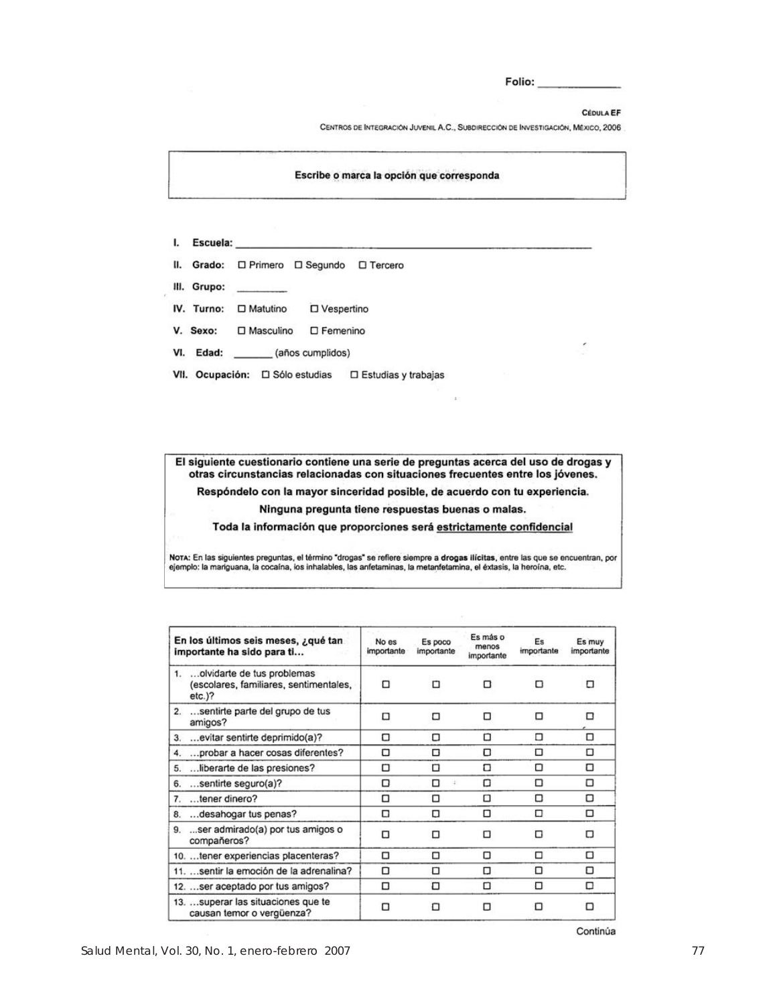Folio:

CÉDULA EF

CENTROS DE INTEGRACIÓN JUVENIL A.C., SUBDIRECCIÓN DE INVESTIGACIÓN, MÉXICO, 2006

### Escribe o marca la opción que corresponda

- I. Escuela:
- II. Grado: O Primero O Segundo O Tercero
- III. Grupo:
- IV. Turno: O Matutino **D** Vespertino
- V. Sexo: □ Masculino □ Femenino
- VI. Edad: (años cumplidos)
- VII. Ocupación: C Sólo estudias C Estudias y trabajas

El siguiente cuestionario contiene una serie de preguntas acerca del uso de drogas y otras circunstancias relacionadas con situaciones frecuentes entre los jóvenes.

Respóndelo con la mayor sinceridad posible, de acuerdo con tu experiencia.

Ninguna pregunta tiene respuestas buenas o malas.

Toda la información que proporciones será estrictamente confidencial

Nota: En las siguientes preguntas, el término "drogas" se refiere siempre a drogas llícitas, entre las que se encuentran, por<br>ejemplo: la mariguana, la cocaína, los inhalables, las anfetaminas, la metanfetamina, el éxtasis

| En los últimos seis meses, ¿qué tan<br>importante ha sido para ti                     | No es<br>importante | Es poco<br>importante | Es más o<br>menos<br>importante | Es<br>importante | Es muy<br>importante |
|---------------------------------------------------------------------------------------|---------------------|-----------------------|---------------------------------|------------------|----------------------|
| 1.  olvidarte de tus problemas<br>(escolares, familiares, sentimentales,<br>$etc.$ )? | □                   | п                     | n                               | п                | □                    |
| 2. sentirte parte del grupo de tus<br>amigos?                                         | □                   | □                     | п                               | п                | п                    |
| 3.  evitar sentirte deprimido(a)?                                                     | □                   | □                     | n                               | п                | □                    |
| 4.  probar a hacer cosas diferentes?                                                  | п                   | ⊓                     | п                               | □                | ◻                    |
| 5. liberarte de las presiones?                                                        | п                   | ◻                     | п                               | ◻                | □                    |
| 6. sentirte seguro(a)?                                                                | □                   | ◻                     | Ω                               | ◻                | □                    |
| 7. tener dinero?                                                                      | □                   | ◻                     | ◻                               | □                | □                    |
| 8.  desahogar tus penas?                                                              | □                   | о                     | ◻                               | □                | □                    |
| 9. ser admirado(a) por tus amigos o<br>compañeros?                                    | п                   | п                     | п                               | п                | п                    |
| 10.  tener experiencias placenteras?                                                  | □                   | □                     | Π                               | □                | □                    |
| 11. sentir la emoción de la adrenalina?                                               | □                   | ◻                     | □                               | ◻                | ◻                    |
| 12. ser aceptado por tus amigos?                                                      | □                   | □                     | ◻                               | □                | □                    |
| 13.  superar las situaciones que te<br>causan temor o vergüenza?                      | n                   | п                     |                                 | п                | □                    |

Continúa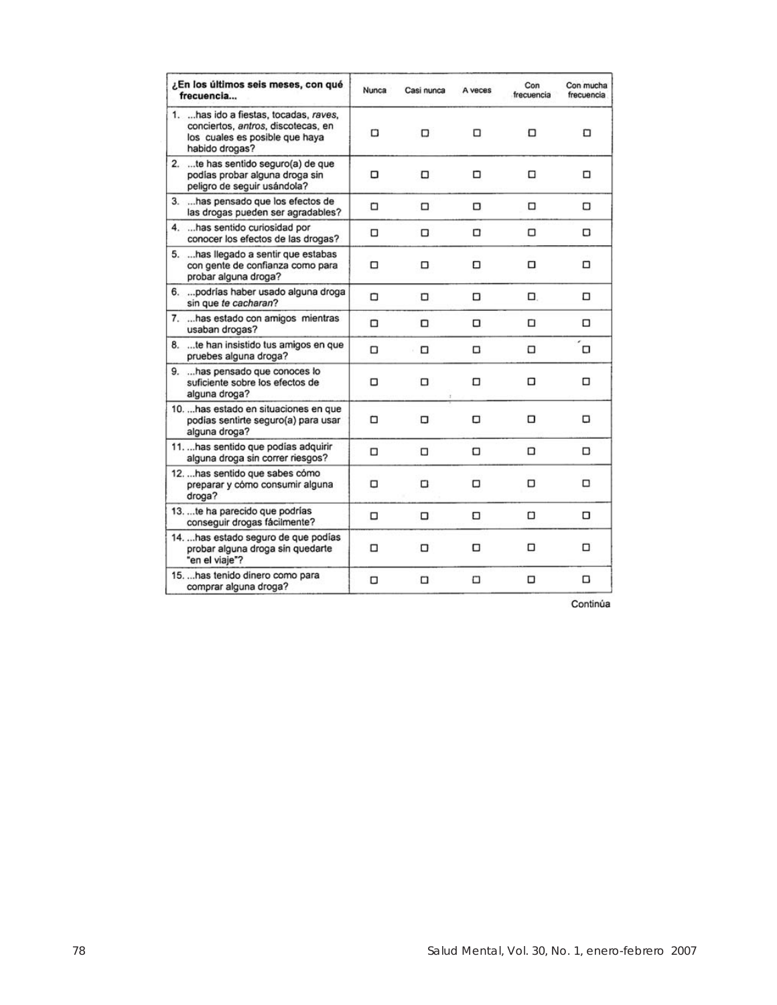| ¿En los últimos seis meses, con qué<br>frecuencia                                                                                | Nunca | Casi nunca | A veces | Con<br>frecuencia | Con mucha<br>frecuencia |
|----------------------------------------------------------------------------------------------------------------------------------|-------|------------|---------|-------------------|-------------------------|
| 1.  has ido a fiestas, tocadas, raves,<br>conciertos, antros, discotecas, en<br>los cuales es posible que haya<br>habido drogas? | о     | □          | □       | □                 | ◻                       |
| te has sentido seguro(a) de que<br>2.<br>podías probar alguna droga sin<br>peligro de seguir usándola?                           | о     | □          | □       | □                 | о                       |
| 3.  has pensado que los efectos de<br>las drogas pueden ser agradables?                                                          | □     | □          | о       | □                 | □                       |
| 4.  has sentido curiosidad por<br>conocer los efectos de las drogas?                                                             | □     | □          | □       | □                 | □                       |
| 5.  has llegado a sentir que estabas<br>con gente de confianza como para<br>probar alguna droga?                                 | □     | ◻          | ◻       | □                 | □                       |
| 6.  podrías haber usado alguna droga<br>sin que te cacharan?                                                                     | ο     | ο          | □       | α.                | □                       |
| 7.  has estado con amigos mientras<br>usaban drogas?                                                                             | □     | □          | $\Box$  | ◻                 | □                       |
| 8.  te han insistido tus amigos en que<br>pruebes alguna droga?                                                                  | ο     | □<br>v     | $\Box$  | α                 | α                       |
| 9.  has pensado que conoces lo<br>suficiente sobre los efectos de<br>alguna droga?                                               | □     | □          | □       | о                 | □                       |
| 10.  has estado en situaciones en que<br>podias sentirte seguro(a) para usar<br>alguna droga?                                    | □     | □          | α       | □                 | о                       |
| 11.  has sentido que podías adquirir<br>alguna droga sin correr riesgos?                                                         | □     | □          | □       | ◻                 | ◻                       |
| 12.  has sentido que sabes cómo<br>preparar y cómo consumir alguna<br>droga?                                                     | □     | □          | □       | п                 | □                       |
| 13.  te ha parecido que podrías<br>conseguir drogas fácilmente?                                                                  | п     | □          | □       | □                 | о                       |
| 14.  has estado seguro de que podías<br>probar alguna droga sin quedarte<br>"en el viaje"?                                       | □     | □          | о       | □                 | α                       |
| 15.  has tenido dinero como para<br>comprar alguna droga?                                                                        | о     | □          | □       | □                 | ◻                       |

Continúa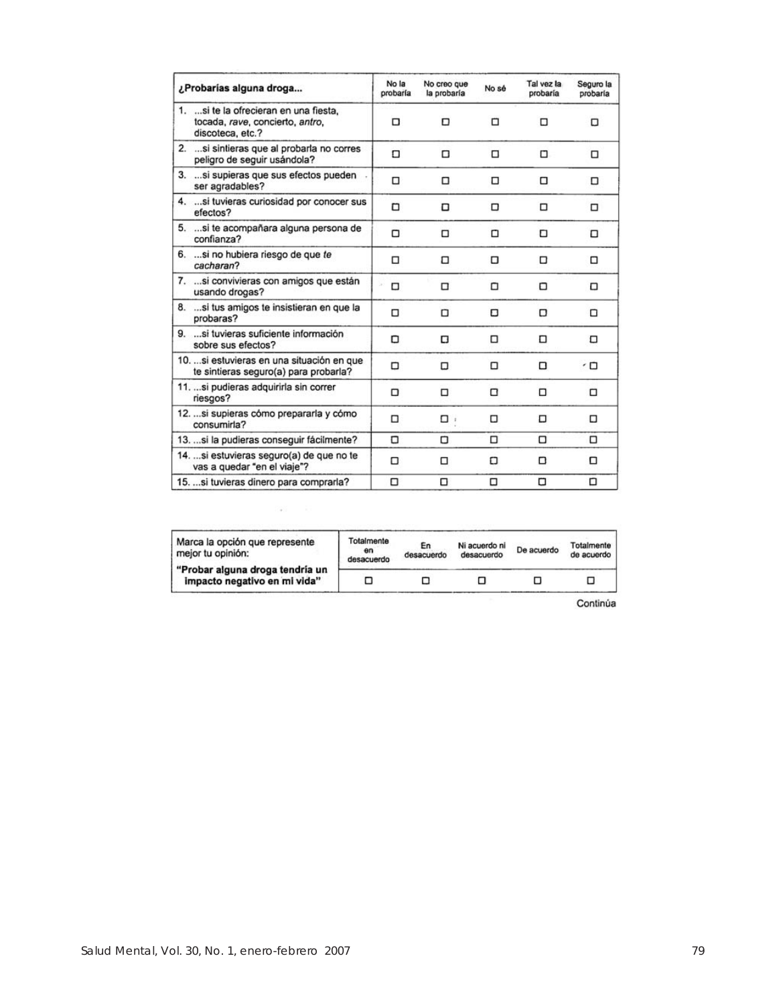| ¿Probarías alguna droga                                                                       | No la<br>probaría | No creo que<br>la probaría | No sé | Tal yez la<br>probaría | Seguro la<br>probaría    |
|-----------------------------------------------------------------------------------------------|-------------------|----------------------------|-------|------------------------|--------------------------|
| 1.  si te la ofrecieran en una fiesta.<br>tocada, rave, concierto, antro,<br>discoteca, etc.? | □                 | □                          | □     | Ω                      | Ω                        |
| 2.  si sintieras que al probarla no corres<br>peligro de seguir usándola?                     | п                 | п                          | □     | □                      | □                        |
| 3.  si supieras que sus efectos pueden<br>ser agradables?                                     | □                 | □                          | □     | □                      | □                        |
| 4.  si tuvieras curiosidad por conocer sus<br>efectos?                                        | □                 | о                          | □     | □                      | □                        |
| 5. si te acompañara alguna persona de<br>confianza?                                           | □                 | $\Box$                     | α     | Ω                      | □                        |
| 6. si no hubiera riesgo de que te<br>cacharan?                                                | □                 | □                          | о     | □                      | □                        |
| 7.  si convivieras con amigos que están<br>usando drogas?                                     | □                 | □                          | ◻     | α                      | о                        |
| 8.  si tus amigos te insistieran en que la<br>probaras?                                       | п                 | n                          | Ω     | Π                      | n                        |
| 9.  si tuvieras suficiente información<br>sobre sus efectos?                                  | о                 | α                          | □     | ◻                      | □                        |
| 10.  si estuvieras en una situación en que<br>te sintieras seguro(a) para probarla?           | □                 | □                          | □     | □                      | $\overline{\phantom{a}}$ |
| 11.  si pudieras adquirirla sin correr<br>riesgos?                                            | о                 | □                          | □     | □                      | □                        |
| 12.  si supieras cómo prepararla y cómo<br>consumida?                                         | □                 | $\Box$                     | α     | □                      | □                        |
| 13.  si la pudieras conseguir fácilmente?                                                     | ο                 | о                          | □     | □                      | □                        |
| 14.  si estuvieras seguro(a) de que no te<br>vas a quedar "en el viaje"?                      | □                 | □                          | Ω     | D                      | α                        |
| 15.  si tuvieras dinero para comprarla?                                                       | □                 | Ω                          | α     | о                      | ◻                        |

| Marca la opción que represente<br>mejor tu opinión:             | Totalmente<br>en<br>desacuerdo | En<br>desacuerdo | Ni acuerdo ni<br>desacuerdo | De acuerdo | Totalmente<br>de acuerdo |
|-----------------------------------------------------------------|--------------------------------|------------------|-----------------------------|------------|--------------------------|
| "Probar alguna droga tendría un<br>impacto negativo en mi vida" |                                |                  |                             |            |                          |

i,

Continúa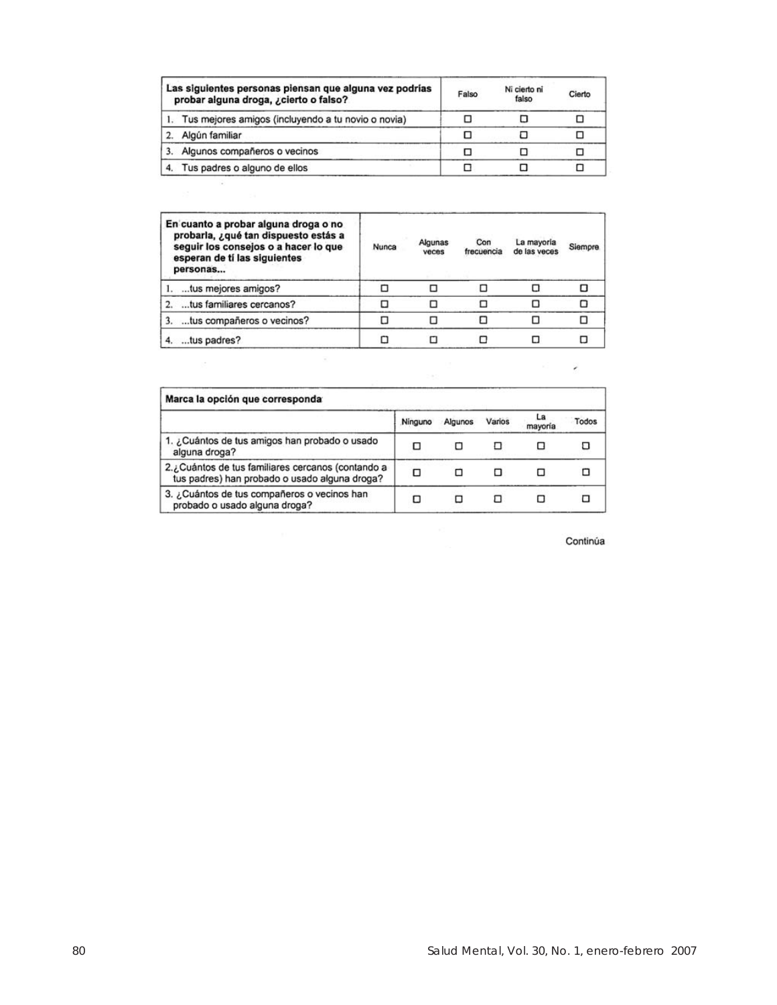|    | Las siguientes personas piensan que alguna vez podrías<br>probar alguna droga, ¿cierto o falso? | Falso | Ni cierto ni<br>falso | Cierto |
|----|-------------------------------------------------------------------------------------------------|-------|-----------------------|--------|
|    | 1. Tus mejores amigos (incluyendo a tu novio o novia)                                           |       |                       |        |
|    | Algún familiar                                                                                  |       |                       |        |
| 3. | Algunos compañeros o vecinos                                                                    |       |                       |        |
| 4. | Tus padres o alguno de ellos                                                                    |       |                       |        |

| En cuanto a probar alguna droga o no<br>probarla, ¿qué tan dispuesto estás a<br>seguir los consejos o a hacer lo que<br>esperan de tí las siguientes<br>personas | Nunca | Algunas<br>veces | Con<br>frecuencia | La mayoría<br>de las veces | Siempre |
|------------------------------------------------------------------------------------------------------------------------------------------------------------------|-------|------------------|-------------------|----------------------------|---------|
| tus mejores amigos?                                                                                                                                              |       |                  |                   |                            |         |
| tus familiares cercanos?                                                                                                                                         |       |                  |                   |                            |         |
| tus compañeros o vecinos?                                                                                                                                        |       |                  |                   |                            |         |
| tus padres?                                                                                                                                                      |       |                  |                   |                            |         |

| Marca la opción que corresponda                                                                    |         |         |        |               |       |
|----------------------------------------------------------------------------------------------------|---------|---------|--------|---------------|-------|
|                                                                                                    | Ninguno | Algunos | Varios | La<br>mayoria | Todos |
| 1. ¿Cuántos de tus amigos han probado o usado<br>alguna droga?                                     | п       | п       |        |               |       |
| 2.¿Cuántos de tus familiares cercanos (contando a<br>tus padres) han probado o usado alguna droga? |         |         |        | Ω             |       |
| 3. ¿Cuántos de tus compañeros o vecinos han<br>probado o usado alguna droga?                       | п       |         |        |               |       |

Continúa

 $\epsilon$